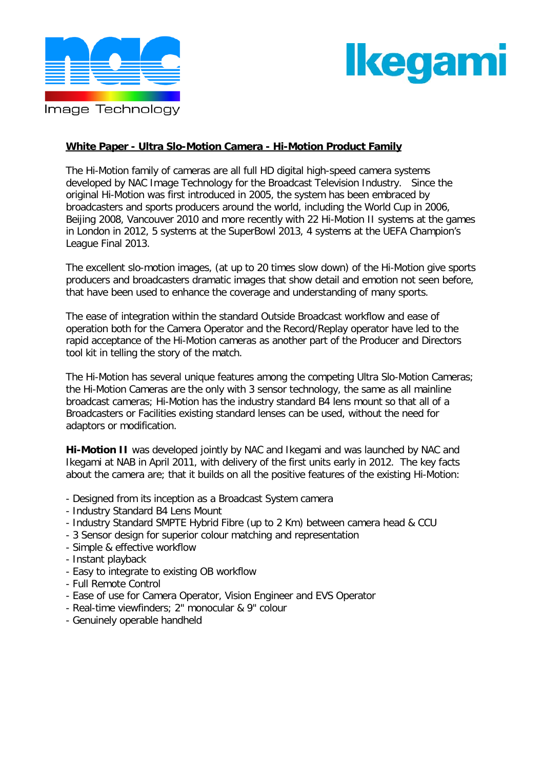

# <u>lkeqamı</u>

## **White Paper - Ultra Slo-Motion Camera - Hi-Motion Product Family**

The Hi-Motion family of cameras are all full HD digital high-speed camera systems developed by NAC Image Technology for the Broadcast Television Industry. Since the original Hi-Motion was first introduced in 2005, the system has been embraced by broadcasters and sports producers around the world, including the World Cup in 2006, Beijing 2008, Vancouver 2010 and more recently with 22 Hi-Motion II systems at the games in London in 2012, 5 systems at the SuperBowl 2013, 4 systems at the UEFA Champion's League Final 2013.

The excellent slo-motion images, (at up to 20 times slow down) of the Hi-Motion give sports producers and broadcasters dramatic images that show detail and emotion not seen before, that have been used to enhance the coverage and understanding of many sports.

The ease of integration within the standard Outside Broadcast workflow and ease of operation both for the Camera Operator and the Record/Replay operator have led to the rapid acceptance of the Hi-Motion cameras as another part of the Producer and Directors tool kit in telling the story of the match.

The Hi-Motion has several unique features among the competing Ultra Slo-Motion Cameras; the Hi-Motion Cameras are the only with 3 sensor technology, the same as all mainline broadcast cameras; Hi-Motion has the industry standard B4 lens mount so that all of a Broadcasters or Facilities existing standard lenses can be used, without the need for adaptors or modification.

**Hi-Motion II** was developed jointly by NAC and Ikegami and was launched by NAC and Ikegami at NAB in April 2011, with delivery of the first units early in 2012. The key facts about the camera are; that it builds on all the positive features of the existing Hi-Motion:

- Designed from its inception as a Broadcast System camera
- Industry Standard B4 Lens Mount
- Industry Standard SMPTE Hybrid Fibre (up to 2 Km) between camera head & CCU
- 3 Sensor design for superior colour matching and representation
- Simple & effective workflow
- Instant playback
- Easy to integrate to existing OB workflow
- Full Remote Control
- Ease of use for Camera Operator, Vision Engineer and EVS Operator
- Real-time viewfinders; 2" monocular & 9" colour
- Genuinely operable handheld